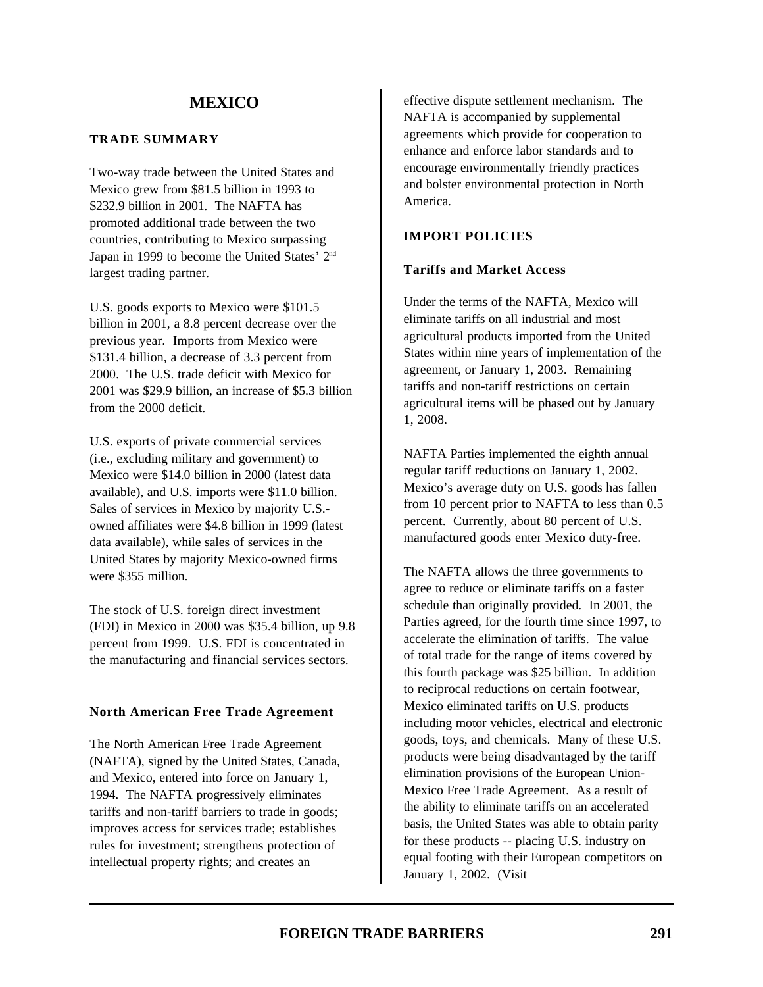#### **TRADE SUMMARY**

Two-way trade between the United States and Mexico grew from \$81.5 billion in 1993 to \$232.9 billion in 2001. The NAFTA has promoted additional trade between the two countries, contributing to Mexico surpassing Japan in 1999 to become the United States' 2nd largest trading partner.

U.S. goods exports to Mexico were \$101.5 billion in 2001, a 8.8 percent decrease over the previous year. Imports from Mexico were \$131.4 billion, a decrease of 3.3 percent from 2000. The U.S. trade deficit with Mexico for 2001 was \$29.9 billion, an increase of \$5.3 billion from the 2000 deficit.

U.S. exports of private commercial services (i.e., excluding military and government) to Mexico were \$14.0 billion in 2000 (latest data available), and U.S. imports were \$11.0 billion. Sales of services in Mexico by majority U.S. owned affiliates were \$4.8 billion in 1999 (latest data available), while sales of services in the United States by majority Mexico-owned firms were \$355 million.

The stock of U.S. foreign direct investment (FDI) in Mexico in 2000 was \$35.4 billion, up 9.8 percent from 1999. U.S. FDI is concentrated in the manufacturing and financial services sectors.

#### **North American Free Trade Agreement**

The North American Free Trade Agreement (NAFTA), signed by the United States, Canada, and Mexico, entered into force on January 1, 1994. The NAFTA progressively eliminates tariffs and non-tariff barriers to trade in goods; improves access for services trade; establishes rules for investment; strengthens protection of intellectual property rights; and creates an

effective dispute settlement mechanism. The NAFTA is accompanied by supplemental agreements which provide for cooperation to enhance and enforce labor standards and to encourage environmentally friendly practices and bolster environmental protection in North America.

### **IMPORT POLICIES**

#### **Tariffs and Market Access**

Under the terms of the NAFTA, Mexico will eliminate tariffs on all industrial and most agricultural products imported from the United States within nine years of implementation of the agreement, or January 1, 2003. Remaining tariffs and non-tariff restrictions on certain agricultural items will be phased out by January 1, 2008.

NAFTA Parties implemented the eighth annual regular tariff reductions on January 1, 2002. Mexico's average duty on U.S. goods has fallen from 10 percent prior to NAFTA to less than 0.5 percent. Currently, about 80 percent of U.S. manufactured goods enter Mexico duty-free.

The NAFTA allows the three governments to agree to reduce or eliminate tariffs on a faster schedule than originally provided. In 2001, the Parties agreed, for the fourth time since 1997, to accelerate the elimination of tariffs. The value of total trade for the range of items covered by this fourth package was \$25 billion. In addition to reciprocal reductions on certain footwear, Mexico eliminated tariffs on U.S. products including motor vehicles, electrical and electronic goods, toys, and chemicals. Many of these U.S. products were being disadvantaged by the tariff elimination provisions of the European Union-Mexico Free Trade Agreement. As a result of the ability to eliminate tariffs on an accelerated basis, the United States was able to obtain parity for these products -- placing U.S. industry on equal footing with their European competitors on January 1, 2002. (Visit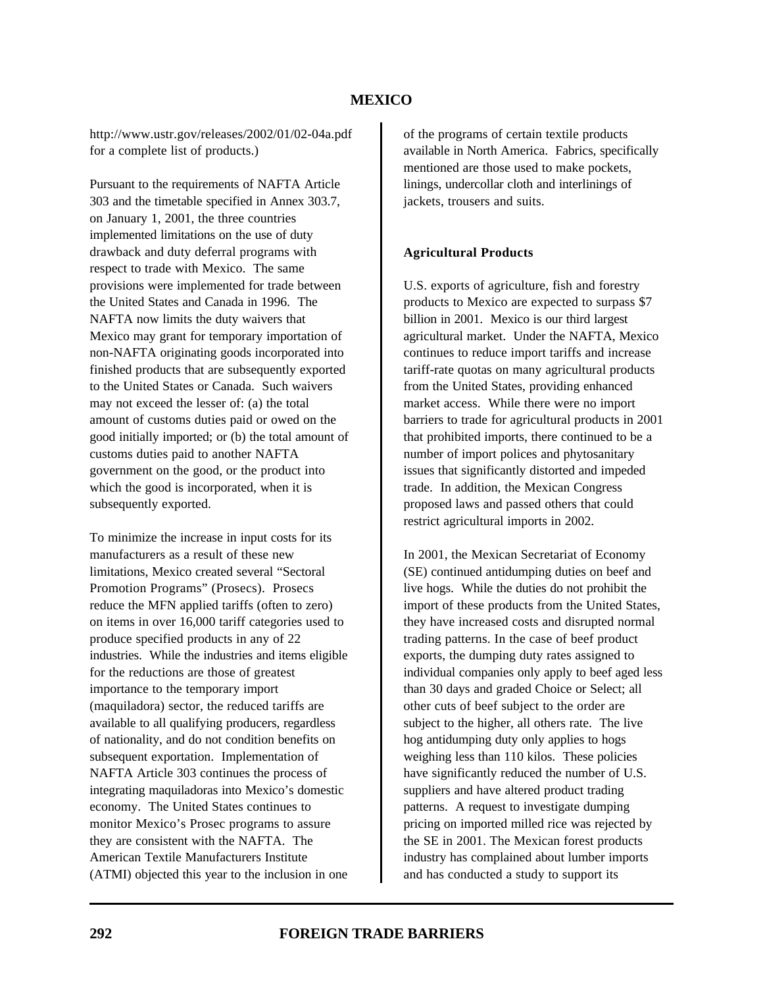http://www.ustr.gov/releases/2002/01/02-04a.pdf for a complete list of products.)

Pursuant to the requirements of NAFTA Article 303 and the timetable specified in Annex 303.7, on January 1, 2001, the three countries implemented limitations on the use of duty drawback and duty deferral programs with respect to trade with Mexico. The same provisions were implemented for trade between the United States and Canada in 1996. The NAFTA now limits the duty waivers that Mexico may grant for temporary importation of non-NAFTA originating goods incorporated into finished products that are subsequently exported to the United States or Canada. Such waivers may not exceed the lesser of: (a) the total amount of customs duties paid or owed on the good initially imported; or (b) the total amount of customs duties paid to another NAFTA government on the good, or the product into which the good is incorporated, when it is subsequently exported.

To minimize the increase in input costs for its manufacturers as a result of these new limitations, Mexico created several "Sectoral Promotion Programs" (Prosecs). Prosecs reduce the MFN applied tariffs (often to zero) on items in over 16,000 tariff categories used to produce specified products in any of 22 industries. While the industries and items eligible for the reductions are those of greatest importance to the temporary import (maquiladora) sector, the reduced tariffs are available to all qualifying producers, regardless of nationality, and do not condition benefits on subsequent exportation. Implementation of NAFTA Article 303 continues the process of integrating maquiladoras into Mexico's domestic economy. The United States continues to monitor Mexico's Prosec programs to assure they are consistent with the NAFTA. The American Textile Manufacturers Institute (ATMI) objected this year to the inclusion in one

of the programs of certain textile products available in North America. Fabrics, specifically mentioned are those used to make pockets, linings, undercollar cloth and interlinings of jackets, trousers and suits.

#### **Agricultural Products**

U.S. exports of agriculture, fish and forestry products to Mexico are expected to surpass \$7 billion in 2001. Mexico is our third largest agricultural market. Under the NAFTA, Mexico continues to reduce import tariffs and increase tariff-rate quotas on many agricultural products from the United States, providing enhanced market access. While there were no import barriers to trade for agricultural products in 2001 that prohibited imports, there continued to be a number of import polices and phytosanitary issues that significantly distorted and impeded trade. In addition, the Mexican Congress proposed laws and passed others that could restrict agricultural imports in 2002.

In 2001, the Mexican Secretariat of Economy (SE) continued antidumping duties on beef and live hogs. While the duties do not prohibit the import of these products from the United States, they have increased costs and disrupted normal trading patterns. In the case of beef product exports, the dumping duty rates assigned to individual companies only apply to beef aged less than 30 days and graded Choice or Select; all other cuts of beef subject to the order are subject to the higher, all others rate. The live hog antidumping duty only applies to hogs weighing less than 110 kilos. These policies have significantly reduced the number of U.S. suppliers and have altered product trading patterns. A request to investigate dumping pricing on imported milled rice was rejected by the SE in 2001. The Mexican forest products industry has complained about lumber imports and has conducted a study to support its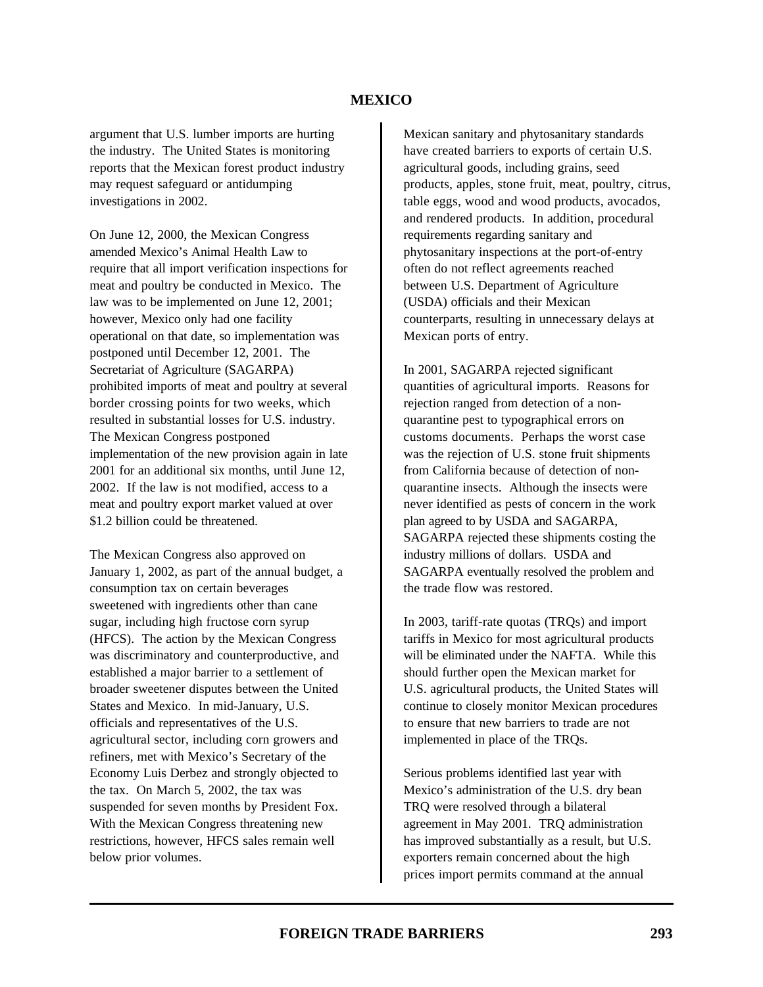argument that U.S. lumber imports are hurting the industry. The United States is monitoring reports that the Mexican forest product industry may request safeguard or antidumping investigations in 2002.

On June 12, 2000, the Mexican Congress amended Mexico's Animal Health Law to require that all import verification inspections for meat and poultry be conducted in Mexico. The law was to be implemented on June 12, 2001; however, Mexico only had one facility operational on that date, so implementation was postponed until December 12, 2001. The Secretariat of Agriculture (SAGARPA) prohibited imports of meat and poultry at several border crossing points for two weeks, which resulted in substantial losses for U.S. industry. The Mexican Congress postponed implementation of the new provision again in late 2001 for an additional six months, until June 12, 2002. If the law is not modified, access to a meat and poultry export market valued at over \$1.2 billion could be threatened.

The Mexican Congress also approved on January 1, 2002, as part of the annual budget, a consumption tax on certain beverages sweetened with ingredients other than cane sugar, including high fructose corn syrup (HFCS). The action by the Mexican Congress was discriminatory and counterproductive, and established a major barrier to a settlement of broader sweetener disputes between the United States and Mexico. In mid-January, U.S. officials and representatives of the U.S. agricultural sector, including corn growers and refiners, met with Mexico's Secretary of the Economy Luis Derbez and strongly objected to the tax. On March 5, 2002, the tax was suspended for seven months by President Fox. With the Mexican Congress threatening new restrictions, however, HFCS sales remain well below prior volumes.

Mexican sanitary and phytosanitary standards have created barriers to exports of certain U.S. agricultural goods, including grains, seed products, apples, stone fruit, meat, poultry, citrus, table eggs, wood and wood products, avocados, and rendered products. In addition, procedural requirements regarding sanitary and phytosanitary inspections at the port-of-entry often do not reflect agreements reached between U.S. Department of Agriculture (USDA) officials and their Mexican counterparts, resulting in unnecessary delays at Mexican ports of entry.

In 2001, SAGARPA rejected significant quantities of agricultural imports. Reasons for rejection ranged from detection of a nonquarantine pest to typographical errors on customs documents. Perhaps the worst case was the rejection of U.S. stone fruit shipments from California because of detection of nonquarantine insects. Although the insects were never identified as pests of concern in the work plan agreed to by USDA and SAGARPA, SAGARPA rejected these shipments costing the industry millions of dollars. USDA and SAGARPA eventually resolved the problem and the trade flow was restored.

In 2003, tariff-rate quotas (TRQs) and import tariffs in Mexico for most agricultural products will be eliminated under the NAFTA. While this should further open the Mexican market for U.S. agricultural products, the United States will continue to closely monitor Mexican procedures to ensure that new barriers to trade are not implemented in place of the TRQs.

Serious problems identified last year with Mexico's administration of the U.S. dry bean TRQ were resolved through a bilateral agreement in May 2001. TRQ administration has improved substantially as a result, but U.S. exporters remain concerned about the high prices import permits command at the annual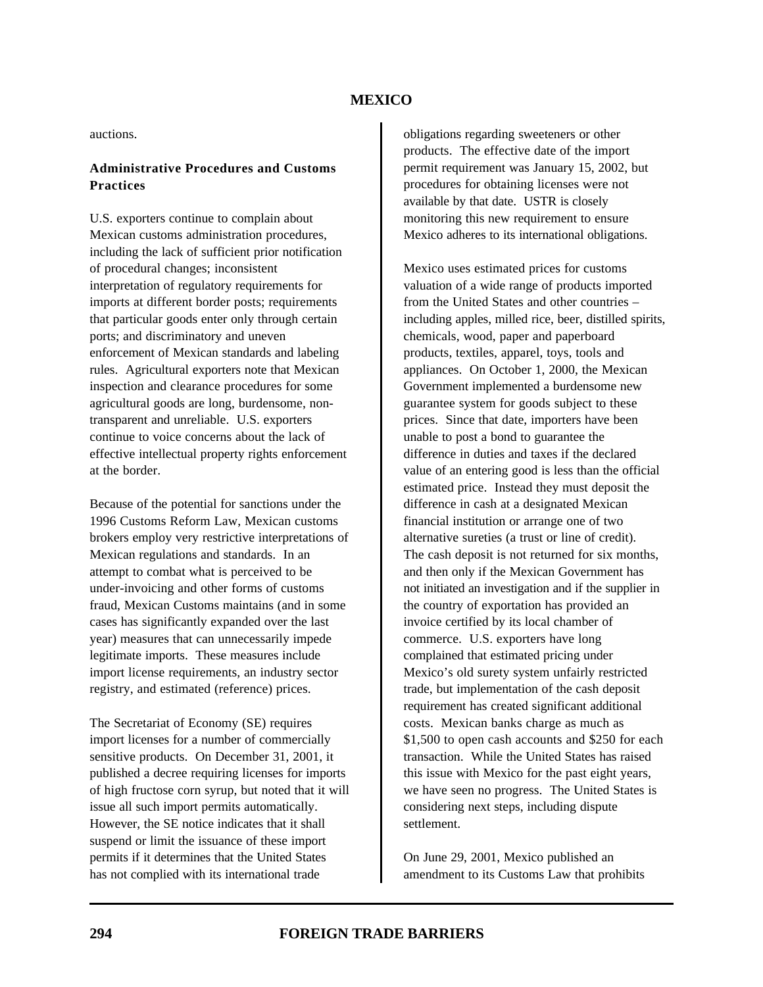auctions.

### **Administrative Procedures and Customs Practices**

U.S. exporters continue to complain about Mexican customs administration procedures, including the lack of sufficient prior notification of procedural changes; inconsistent interpretation of regulatory requirements for imports at different border posts; requirements that particular goods enter only through certain ports; and discriminatory and uneven enforcement of Mexican standards and labeling rules. Agricultural exporters note that Mexican inspection and clearance procedures for some agricultural goods are long, burdensome, nontransparent and unreliable. U.S. exporters continue to voice concerns about the lack of effective intellectual property rights enforcement at the border.

Because of the potential for sanctions under the 1996 Customs Reform Law, Mexican customs brokers employ very restrictive interpretations of Mexican regulations and standards. In an attempt to combat what is perceived to be under-invoicing and other forms of customs fraud, Mexican Customs maintains (and in some cases has significantly expanded over the last year) measures that can unnecessarily impede legitimate imports. These measures include import license requirements, an industry sector registry, and estimated (reference) prices.

The Secretariat of Economy (SE) requires import licenses for a number of commercially sensitive products. On December 31, 2001, it published a decree requiring licenses for imports of high fructose corn syrup, but noted that it will issue all such import permits automatically. However, the SE notice indicates that it shall suspend or limit the issuance of these import permits if it determines that the United States has not complied with its international trade

obligations regarding sweeteners or other products. The effective date of the import permit requirement was January 15, 2002, but procedures for obtaining licenses were not available by that date. USTR is closely monitoring this new requirement to ensure Mexico adheres to its international obligations.

Mexico uses estimated prices for customs valuation of a wide range of products imported from the United States and other countries – including apples, milled rice, beer, distilled spirits, chemicals, wood, paper and paperboard products, textiles, apparel, toys, tools and appliances. On October 1, 2000, the Mexican Government implemented a burdensome new guarantee system for goods subject to these prices. Since that date, importers have been unable to post a bond to guarantee the difference in duties and taxes if the declared value of an entering good is less than the official estimated price. Instead they must deposit the difference in cash at a designated Mexican financial institution or arrange one of two alternative sureties (a trust or line of credit). The cash deposit is not returned for six months, and then only if the Mexican Government has not initiated an investigation and if the supplier in the country of exportation has provided an invoice certified by its local chamber of commerce. U.S. exporters have long complained that estimated pricing under Mexico's old surety system unfairly restricted trade, but implementation of the cash deposit requirement has created significant additional costs. Mexican banks charge as much as \$1,500 to open cash accounts and \$250 for each transaction. While the United States has raised this issue with Mexico for the past eight years, we have seen no progress. The United States is considering next steps, including dispute settlement.

On June 29, 2001, Mexico published an amendment to its Customs Law that prohibits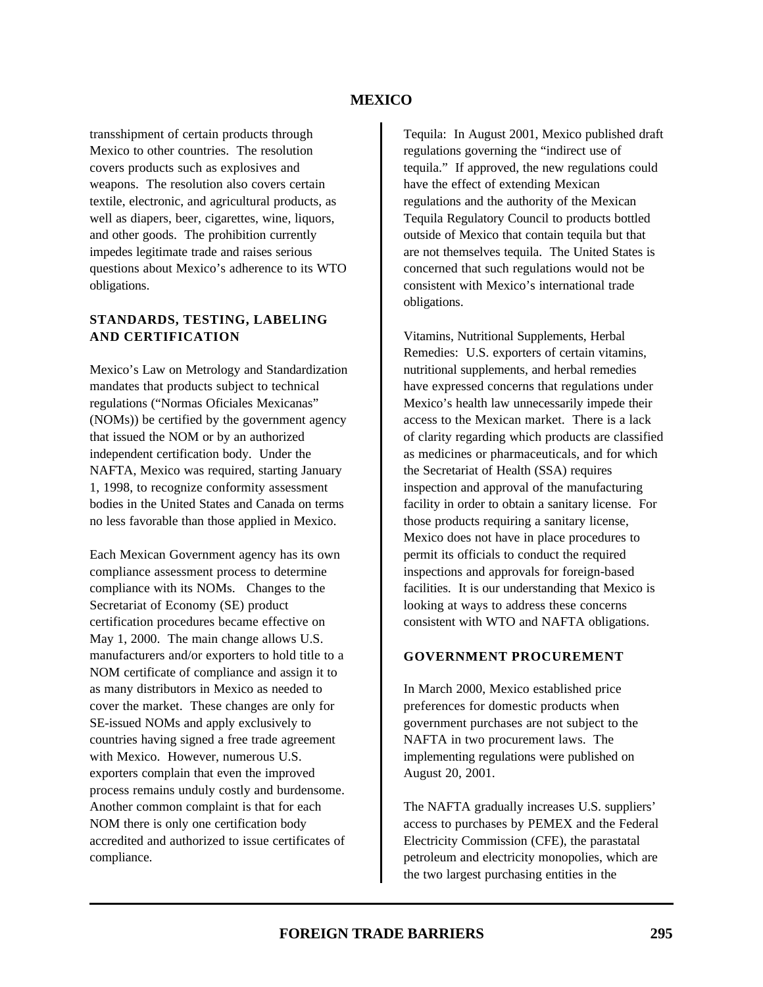transshipment of certain products through Mexico to other countries. The resolution covers products such as explosives and weapons. The resolution also covers certain textile, electronic, and agricultural products, as well as diapers, beer, cigarettes, wine, liquors, and other goods. The prohibition currently impedes legitimate trade and raises serious questions about Mexico's adherence to its WTO obligations.

### **STANDARDS, TESTING, LABELING AND CERTIFICATION**

Mexico's Law on Metrology and Standardization mandates that products subject to technical regulations ("Normas Oficiales Mexicanas" (NOMs)) be certified by the government agency that issued the NOM or by an authorized independent certification body. Under the NAFTA, Mexico was required, starting January 1, 1998, to recognize conformity assessment bodies in the United States and Canada on terms no less favorable than those applied in Mexico.

Each Mexican Government agency has its own compliance assessment process to determine compliance with its NOMs. Changes to the Secretariat of Economy (SE) product certification procedures became effective on May 1, 2000. The main change allows U.S. manufacturers and/or exporters to hold title to a NOM certificate of compliance and assign it to as many distributors in Mexico as needed to cover the market. These changes are only for SE-issued NOMs and apply exclusively to countries having signed a free trade agreement with Mexico. However, numerous U.S. exporters complain that even the improved process remains unduly costly and burdensome. Another common complaint is that for each NOM there is only one certification body accredited and authorized to issue certificates of compliance.

Tequila: In August 2001, Mexico published draft regulations governing the "indirect use of tequila." If approved, the new regulations could have the effect of extending Mexican regulations and the authority of the Mexican Tequila Regulatory Council to products bottled outside of Mexico that contain tequila but that are not themselves tequila. The United States is concerned that such regulations would not be consistent with Mexico's international trade obligations.

Vitamins, Nutritional Supplements, Herbal Remedies: U.S. exporters of certain vitamins, nutritional supplements, and herbal remedies have expressed concerns that regulations under Mexico's health law unnecessarily impede their access to the Mexican market. There is a lack of clarity regarding which products are classified as medicines or pharmaceuticals, and for which the Secretariat of Health (SSA) requires inspection and approval of the manufacturing facility in order to obtain a sanitary license. For those products requiring a sanitary license, Mexico does not have in place procedures to permit its officials to conduct the required inspections and approvals for foreign-based facilities. It is our understanding that Mexico is looking at ways to address these concerns consistent with WTO and NAFTA obligations.

# **GOVERNMENT PROCUREMENT**

In March 2000, Mexico established price preferences for domestic products when government purchases are not subject to the NAFTA in two procurement laws. The implementing regulations were published on August 20, 2001.

The NAFTA gradually increases U.S. suppliers' access to purchases by PEMEX and the Federal Electricity Commission (CFE), the parastatal petroleum and electricity monopolies, which are the two largest purchasing entities in the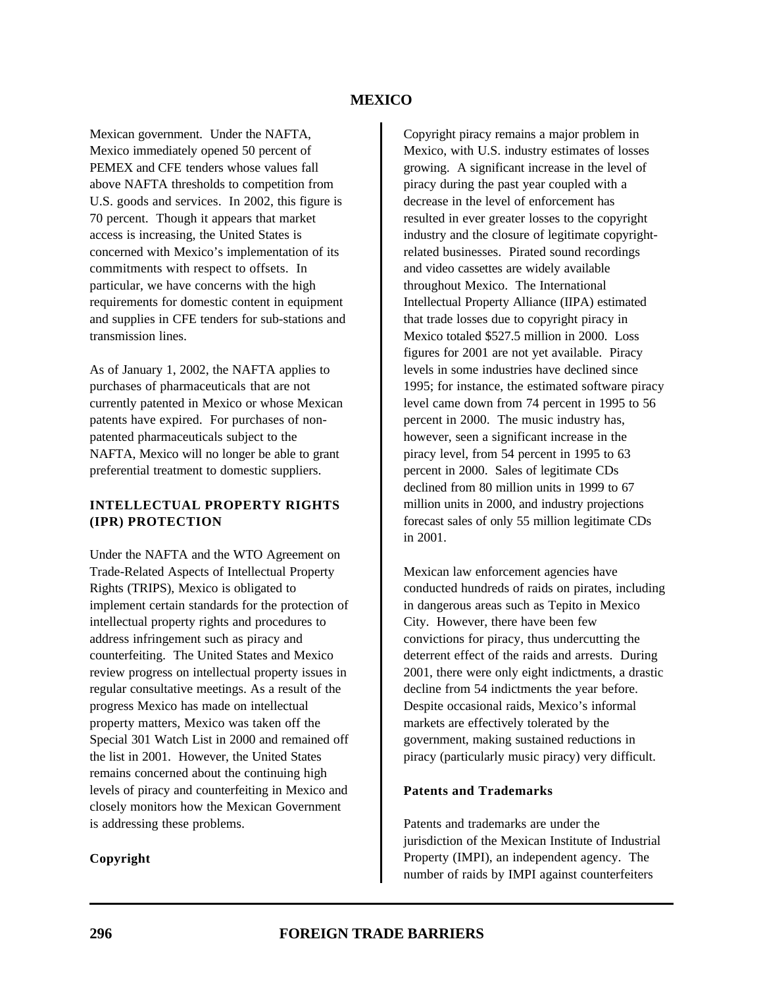Mexican government. Under the NAFTA, Mexico immediately opened 50 percent of PEMEX and CFE tenders whose values fall above NAFTA thresholds to competition from U.S. goods and services. In 2002, this figure is 70 percent. Though it appears that market access is increasing, the United States is concerned with Mexico's implementation of its commitments with respect to offsets. In particular, we have concerns with the high requirements for domestic content in equipment and supplies in CFE tenders for sub-stations and transmission lines.

As of January 1, 2002, the NAFTA applies to purchases of pharmaceuticals that are not currently patented in Mexico or whose Mexican patents have expired. For purchases of nonpatented pharmaceuticals subject to the NAFTA, Mexico will no longer be able to grant preferential treatment to domestic suppliers.

### **INTELLECTUAL PROPERTY RIGHTS (IPR) PROTECTION**

Under the NAFTA and the WTO Agreement on Trade-Related Aspects of Intellectual Property Rights (TRIPS), Mexico is obligated to implement certain standards for the protection of intellectual property rights and procedures to address infringement such as piracy and counterfeiting. The United States and Mexico review progress on intellectual property issues in regular consultative meetings. As a result of the progress Mexico has made on intellectual property matters, Mexico was taken off the Special 301 Watch List in 2000 and remained off the list in 2001. However, the United States remains concerned about the continuing high levels of piracy and counterfeiting in Mexico and closely monitors how the Mexican Government is addressing these problems.

### **Copyright**

Copyright piracy remains a major problem in Mexico, with U.S. industry estimates of losses growing. A significant increase in the level of piracy during the past year coupled with a decrease in the level of enforcement has resulted in ever greater losses to the copyright industry and the closure of legitimate copyrightrelated businesses. Pirated sound recordings and video cassettes are widely available throughout Mexico. The International Intellectual Property Alliance (IIPA) estimated that trade losses due to copyright piracy in Mexico totaled \$527.5 million in 2000. Loss figures for 2001 are not yet available. Piracy levels in some industries have declined since 1995; for instance, the estimated software piracy level came down from 74 percent in 1995 to 56 percent in 2000. The music industry has, however, seen a significant increase in the piracy level, from 54 percent in 1995 to 63 percent in 2000. Sales of legitimate CDs declined from 80 million units in 1999 to 67 million units in 2000, and industry projections forecast sales of only 55 million legitimate CDs in 2001.

Mexican law enforcement agencies have conducted hundreds of raids on pirates, including in dangerous areas such as Tepito in Mexico City. However, there have been few convictions for piracy, thus undercutting the deterrent effect of the raids and arrests. During 2001, there were only eight indictments, a drastic decline from 54 indictments the year before. Despite occasional raids, Mexico's informal markets are effectively tolerated by the government, making sustained reductions in piracy (particularly music piracy) very difficult.

#### **Patents and Trademarks**

Patents and trademarks are under the jurisdiction of the Mexican Institute of Industrial Property (IMPI), an independent agency. The number of raids by IMPI against counterfeiters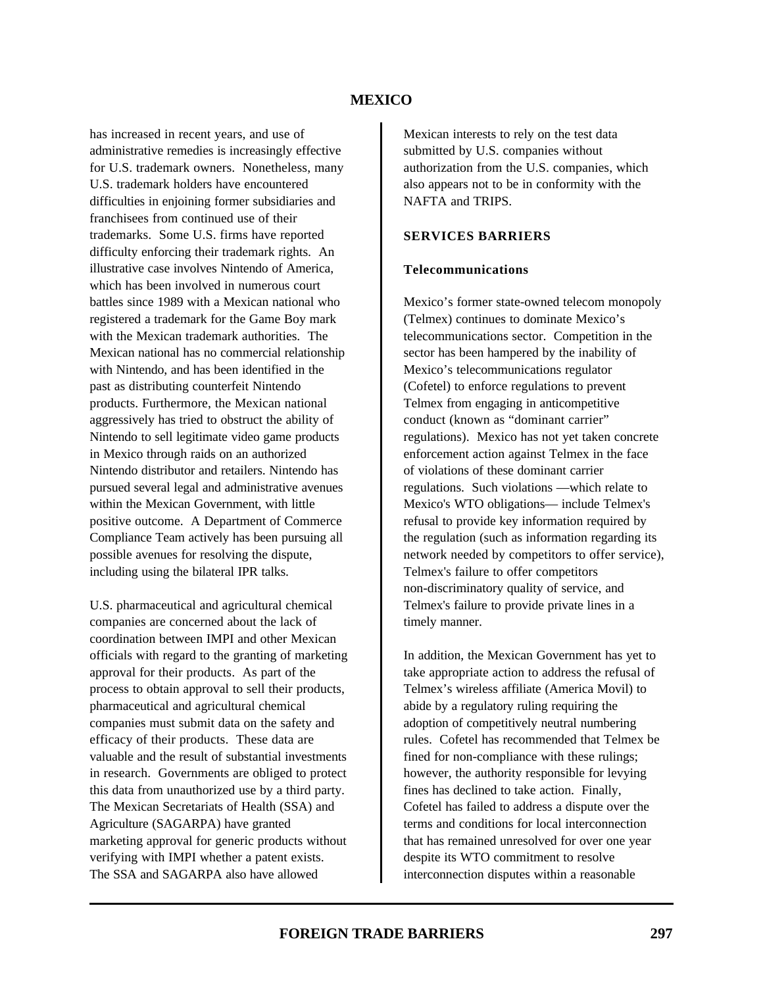has increased in recent years, and use of administrative remedies is increasingly effective for U.S. trademark owners. Nonetheless, many U.S. trademark holders have encountered difficulties in enjoining former subsidiaries and franchisees from continued use of their trademarks. Some U.S. firms have reported difficulty enforcing their trademark rights. An illustrative case involves Nintendo of America, which has been involved in numerous court battles since 1989 with a Mexican national who registered a trademark for the Game Boy mark with the Mexican trademark authorities. The Mexican national has no commercial relationship with Nintendo, and has been identified in the past as distributing counterfeit Nintendo products. Furthermore, the Mexican national aggressively has tried to obstruct the ability of Nintendo to sell legitimate video game products in Mexico through raids on an authorized Nintendo distributor and retailers. Nintendo has pursued several legal and administrative avenues within the Mexican Government, with little positive outcome. A Department of Commerce Compliance Team actively has been pursuing all possible avenues for resolving the dispute, including using the bilateral IPR talks.

U.S. pharmaceutical and agricultural chemical companies are concerned about the lack of coordination between IMPI and other Mexican officials with regard to the granting of marketing approval for their products. As part of the process to obtain approval to sell their products, pharmaceutical and agricultural chemical companies must submit data on the safety and efficacy of their products. These data are valuable and the result of substantial investments in research. Governments are obliged to protect this data from unauthorized use by a third party. The Mexican Secretariats of Health (SSA) and Agriculture (SAGARPA) have granted marketing approval for generic products without verifying with IMPI whether a patent exists. The SSA and SAGARPA also have allowed

Mexican interests to rely on the test data submitted by U.S. companies without authorization from the U.S. companies, which also appears not to be in conformity with the NAFTA and TRIPS.

### **SERVICES BARRIERS**

#### **Telecommunications**

Mexico's former state-owned telecom monopoly (Telmex) continues to dominate Mexico's telecommunications sector. Competition in the sector has been hampered by the inability of Mexico's telecommunications regulator (Cofetel) to enforce regulations to prevent Telmex from engaging in anticompetitive conduct (known as "dominant carrier" regulations). Mexico has not yet taken concrete enforcement action against Telmex in the face of violations of these dominant carrier regulations. Such violations —which relate to Mexico's WTO obligations— include Telmex's refusal to provide key information required by the regulation (such as information regarding its network needed by competitors to offer service), Telmex's failure to offer competitors non-discriminatory quality of service, and Telmex's failure to provide private lines in a timely manner.

In addition, the Mexican Government has yet to take appropriate action to address the refusal of Telmex's wireless affiliate (America Movil) to abide by a regulatory ruling requiring the adoption of competitively neutral numbering rules. Cofetel has recommended that Telmex be fined for non-compliance with these rulings; however, the authority responsible for levying fines has declined to take action. Finally, Cofetel has failed to address a dispute over the terms and conditions for local interconnection that has remained unresolved for over one year despite its WTO commitment to resolve interconnection disputes within a reasonable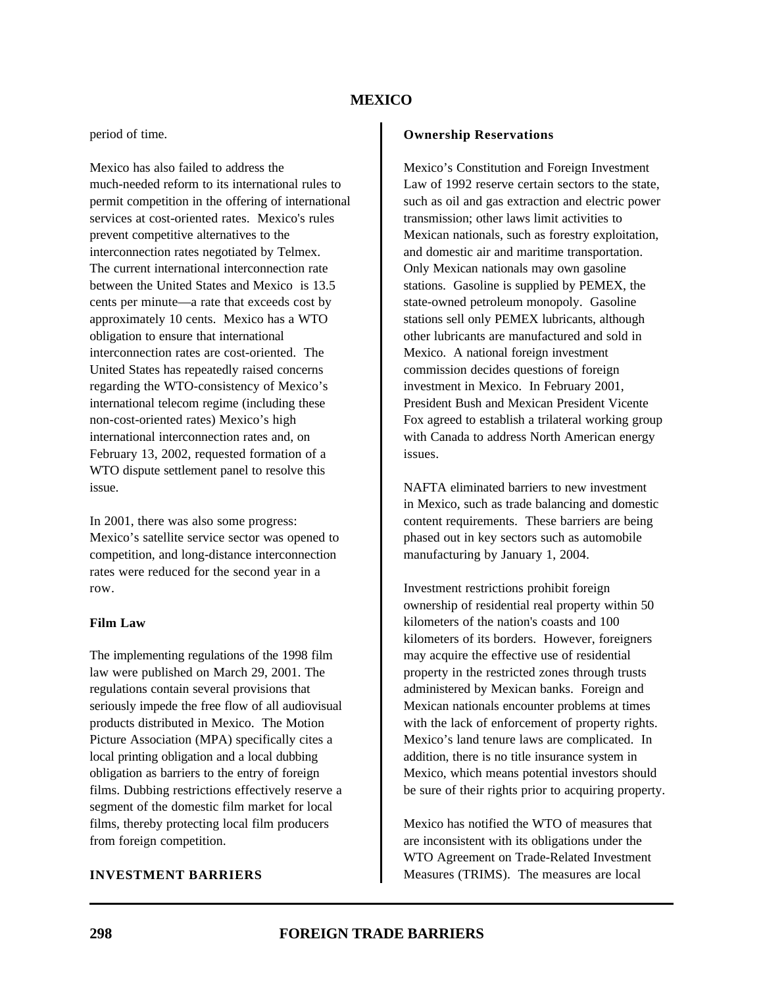#### period of time.

Mexico has also failed to address the much-needed reform to its international rules to permit competition in the offering of international services at cost-oriented rates. Mexico's rules prevent competitive alternatives to the interconnection rates negotiated by Telmex. The current international interconnection rate between the United States and Mexico is 13.5 cents per minute—a rate that exceeds cost by approximately 10 cents. Mexico has a WTO obligation to ensure that international interconnection rates are cost-oriented. The United States has repeatedly raised concerns regarding the WTO-consistency of Mexico's international telecom regime (including these non-cost-oriented rates) Mexico's high international interconnection rates and, on February 13, 2002, requested formation of a WTO dispute settlement panel to resolve this issue.

In 2001, there was also some progress: Mexico's satellite service sector was opened to competition, and long-distance interconnection rates were reduced for the second year in a row.

#### **Film Law**

The implementing regulations of the 1998 film law were published on March 29, 2001. The regulations contain several provisions that seriously impede the free flow of all audiovisual products distributed in Mexico. The Motion Picture Association (MPA) specifically cites a local printing obligation and a local dubbing obligation as barriers to the entry of foreign films. Dubbing restrictions effectively reserve a segment of the domestic film market for local films, thereby protecting local film producers from foreign competition.

#### **INVESTMENT BARRIERS**

#### **Ownership Reservations**

Mexico's Constitution and Foreign Investment Law of 1992 reserve certain sectors to the state, such as oil and gas extraction and electric power transmission; other laws limit activities to Mexican nationals, such as forestry exploitation, and domestic air and maritime transportation. Only Mexican nationals may own gasoline stations. Gasoline is supplied by PEMEX, the state-owned petroleum monopoly. Gasoline stations sell only PEMEX lubricants, although other lubricants are manufactured and sold in Mexico. A national foreign investment commission decides questions of foreign investment in Mexico. In February 2001, President Bush and Mexican President Vicente Fox agreed to establish a trilateral working group with Canada to address North American energy issues.

NAFTA eliminated barriers to new investment in Mexico, such as trade balancing and domestic content requirements. These barriers are being phased out in key sectors such as automobile manufacturing by January 1, 2004.

Investment restrictions prohibit foreign ownership of residential real property within 50 kilometers of the nation's coasts and 100 kilometers of its borders. However, foreigners may acquire the effective use of residential property in the restricted zones through trusts administered by Mexican banks. Foreign and Mexican nationals encounter problems at times with the lack of enforcement of property rights. Mexico's land tenure laws are complicated. In addition, there is no title insurance system in Mexico, which means potential investors should be sure of their rights prior to acquiring property.

Mexico has notified the WTO of measures that are inconsistent with its obligations under the WTO Agreement on Trade-Related Investment Measures (TRIMS). The measures are local